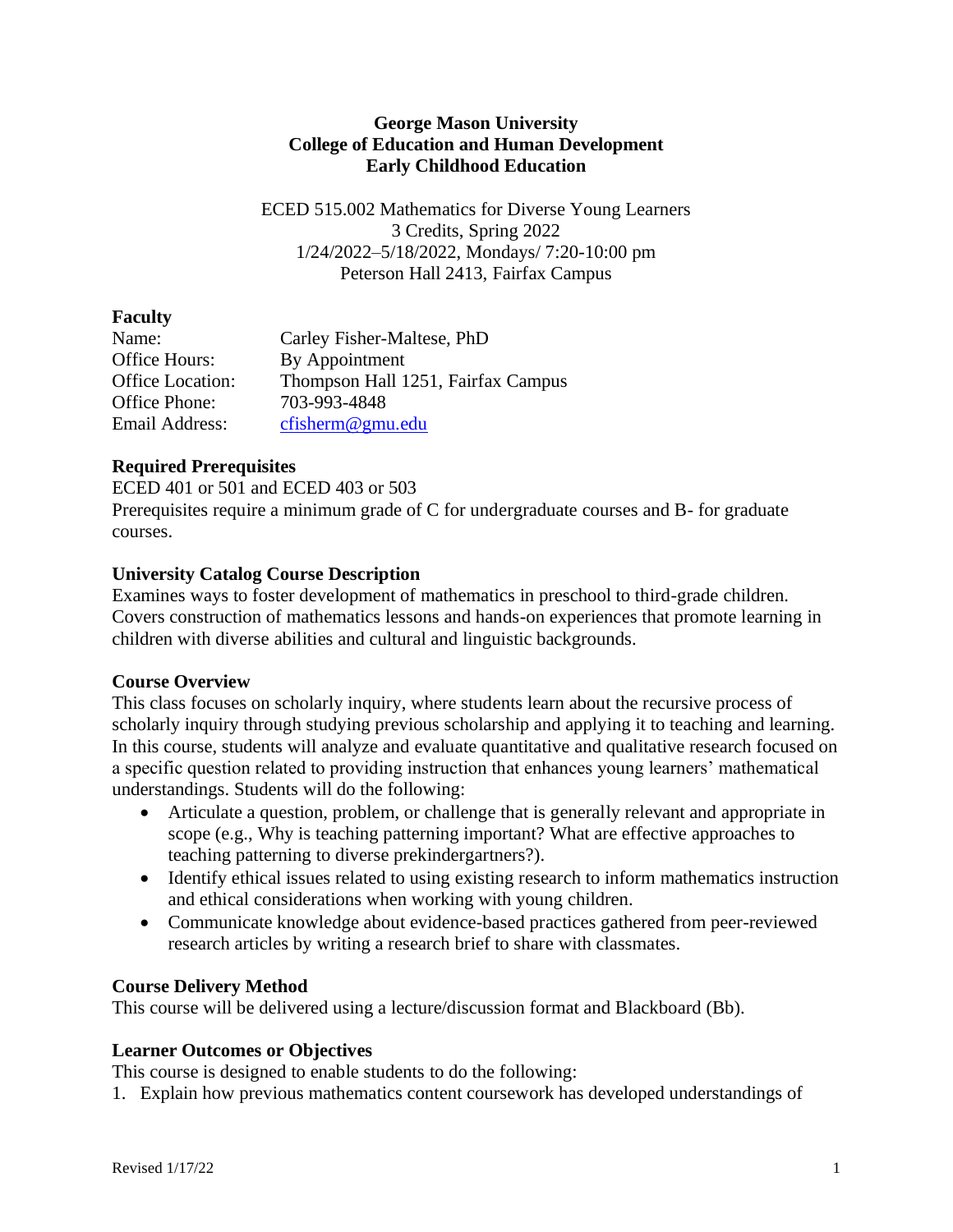### **George Mason University College of Education and Human Development Early Childhood Education**

ECED 515.002 Mathematics for Diverse Young Learners 3 Credits, Spring 2022 1/24/2022–5/18/2022, Mondays/ 7:20-10:00 pm Peterson Hall 2413, Fairfax Campus

# **Faculty**

| Name:                   | Carley Fisher-Maltese, PhD         |
|-------------------------|------------------------------------|
| Office Hours:           | By Appointment                     |
| <b>Office Location:</b> | Thompson Hall 1251, Fairfax Campus |
| Office Phone:           | 703-993-4848                       |
| Email Address:          | cfisherm@gmu.edu                   |

# **Required Prerequisites**

ECED 401 or 501 and ECED 403 or 503 Prerequisites require a minimum grade of C for undergraduate courses and B- for graduate courses.

# **University Catalog Course Description**

Examines ways to foster development of mathematics in preschool to third-grade children. Covers construction of mathematics lessons and hands-on experiences that promote learning in children with diverse abilities and cultural and linguistic backgrounds.

# **Course Overview**

This class focuses on scholarly inquiry, where students learn about the recursive process of scholarly inquiry through studying previous scholarship and applying it to teaching and learning. In this course, students will analyze and evaluate quantitative and qualitative research focused on a specific question related to providing instruction that enhances young learners' mathematical understandings. Students will do the following:

- Articulate a question, problem, or challenge that is generally relevant and appropriate in scope (e.g., Why is teaching patterning important? What are effective approaches to teaching patterning to diverse prekindergartners?).
- Identify ethical issues related to using existing research to inform mathematics instruction and ethical considerations when working with young children.
- Communicate knowledge about evidence-based practices gathered from peer-reviewed research articles by writing a research brief to share with classmates.

# **Course Delivery Method**

This course will be delivered using a lecture/discussion format and Blackboard (Bb).

# **Learner Outcomes or Objectives**

This course is designed to enable students to do the following:

1. Explain how previous mathematics content coursework has developed understandings of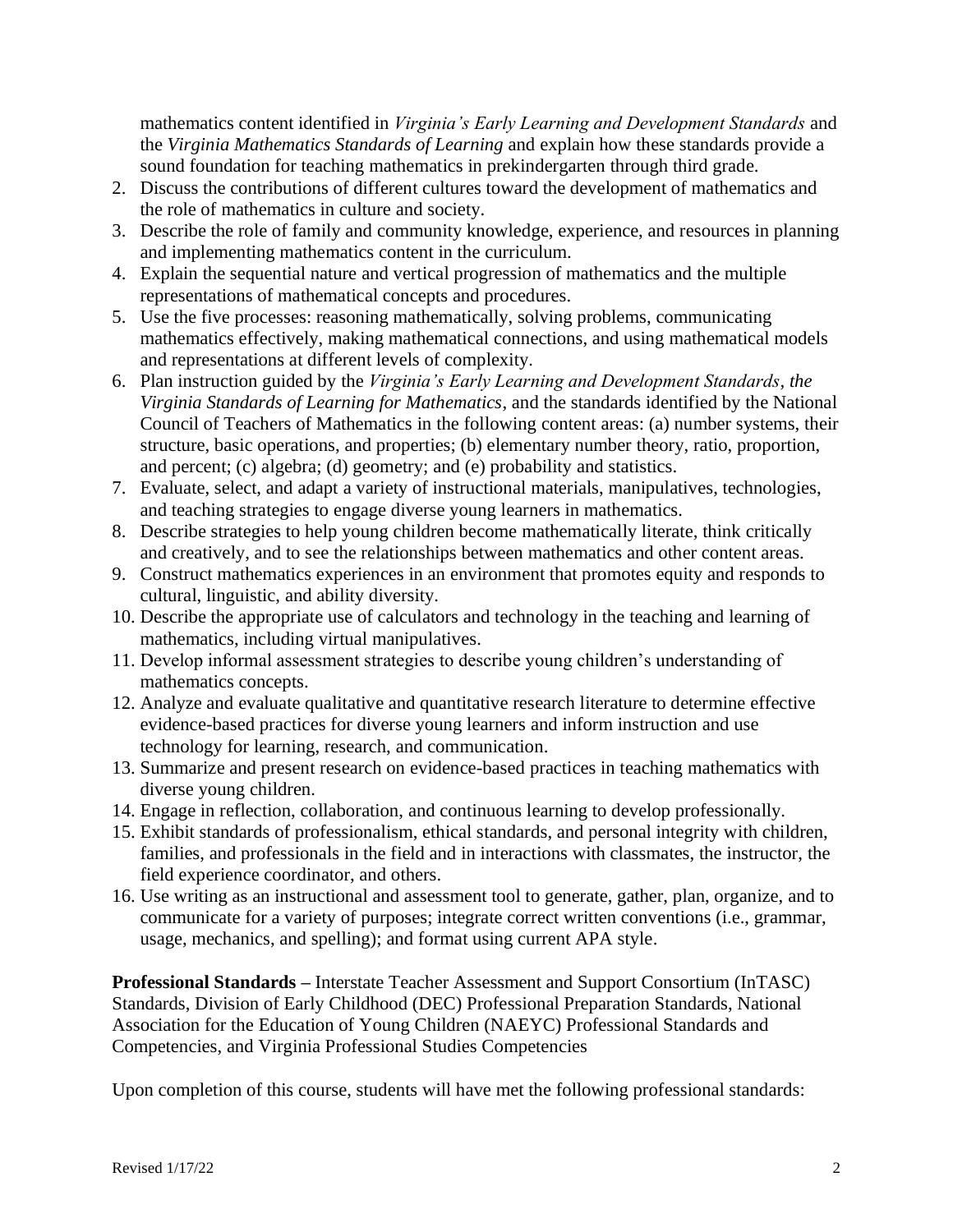mathematics content identified in *Virginia's Early Learning and Development Standards* and the *Virginia Mathematics Standards of Learning* and explain how these standards provide a sound foundation for teaching mathematics in prekindergarten through third grade.

- 2. Discuss the contributions of different cultures toward the development of mathematics and the role of mathematics in culture and society.
- 3. Describe the role of family and community knowledge, experience, and resources in planning and implementing mathematics content in the curriculum.
- 4. Explain the sequential nature and vertical progression of mathematics and the multiple representations of mathematical concepts and procedures.
- 5. Use the five processes: reasoning mathematically, solving problems, communicating mathematics effectively, making mathematical connections, and using mathematical models and representations at different levels of complexity.
- 6. Plan instruction guided by the *Virginia's Early Learning and Development Standards, the Virginia Standards of Learning for Mathematics*, and the standards identified by the National Council of Teachers of Mathematics in the following content areas: (a) number systems, their structure, basic operations, and properties; (b) elementary number theory, ratio, proportion, and percent; (c) algebra; (d) geometry; and (e) probability and statistics.
- 7. Evaluate, select, and adapt a variety of instructional materials, manipulatives, technologies, and teaching strategies to engage diverse young learners in mathematics.
- 8. Describe strategies to help young children become mathematically literate, think critically and creatively, and to see the relationships between mathematics and other content areas.
- 9. Construct mathematics experiences in an environment that promotes equity and responds to cultural, linguistic, and ability diversity.
- 10. Describe the appropriate use of calculators and technology in the teaching and learning of mathematics, including virtual manipulatives.
- 11. Develop informal assessment strategies to describe young children's understanding of mathematics concepts.
- 12. Analyze and evaluate qualitative and quantitative research literature to determine effective evidence-based practices for diverse young learners and inform instruction and use technology for learning, research, and communication.
- 13. Summarize and present research on evidence-based practices in teaching mathematics with diverse young children.
- 14. Engage in reflection, collaboration, and continuous learning to develop professionally.
- 15. Exhibit standards of professionalism, ethical standards, and personal integrity with children, families, and professionals in the field and in interactions with classmates, the instructor, the field experience coordinator, and others.
- 16. Use writing as an instructional and assessment tool to generate, gather, plan, organize, and to communicate for a variety of purposes; integrate correct written conventions (i.e., grammar, usage, mechanics, and spelling); and format using current APA style.

**Professional Standards –** Interstate Teacher Assessment and Support Consortium (InTASC) Standards, Division of Early Childhood (DEC) Professional Preparation Standards, National Association for the Education of Young Children (NAEYC) Professional Standards and Competencies, and Virginia Professional Studies Competencies

Upon completion of this course, students will have met the following professional standards: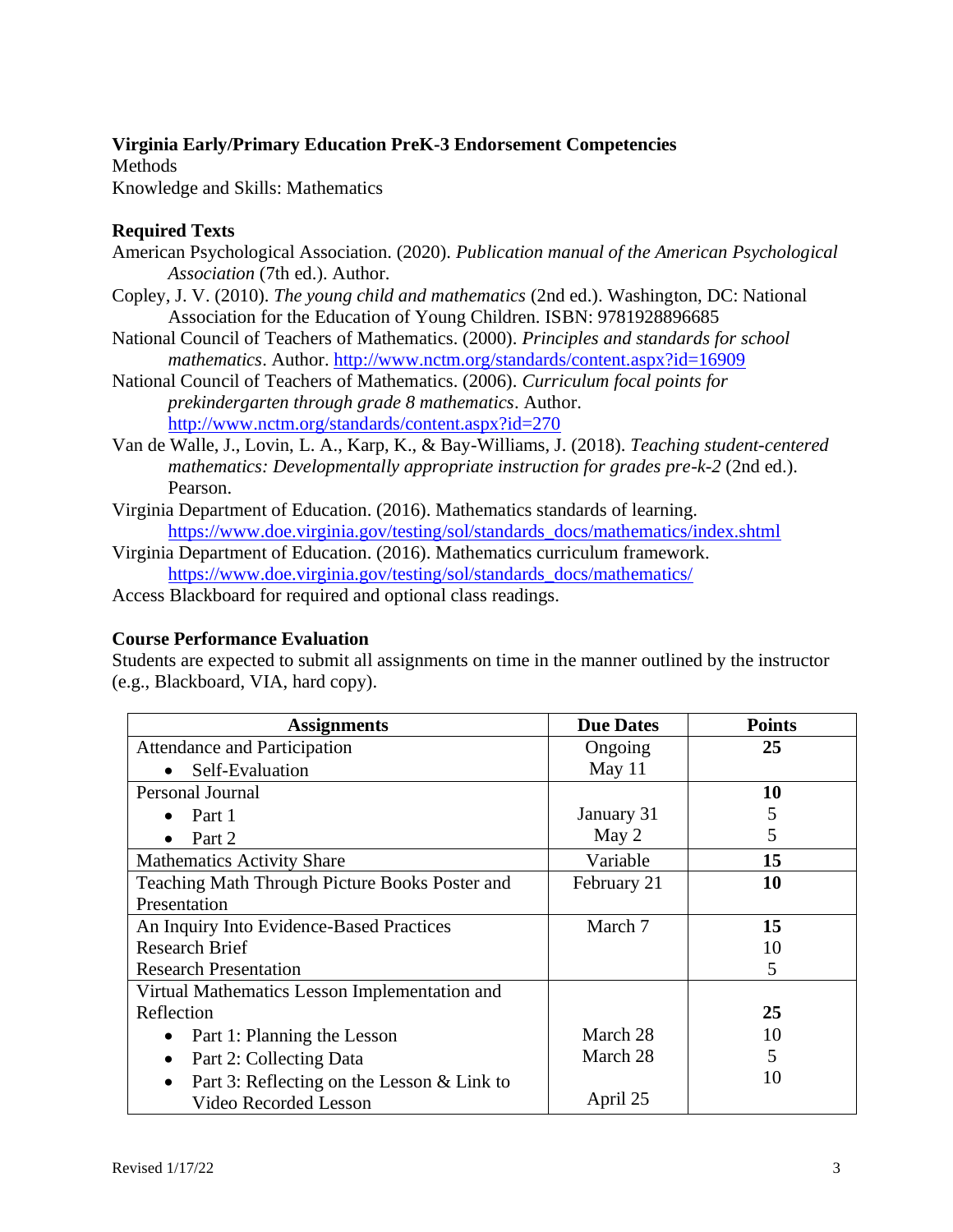# **Virginia Early/Primary Education PreK-3 Endorsement Competencies**

Methods Knowledge and Skills: Mathematics

# **Required Texts**

- American Psychological Association. (2020). *Publication manual of the American Psychological Association* (7th ed.). Author.
- Copley, J. V. (2010). *The young child and mathematics* (2nd ed.). Washington, DC: National Association for the Education of Young Children. ISBN: 9781928896685
- National Council of Teachers of Mathematics. (2000). *Principles and standards for school mathematics*. Author.<http://www.nctm.org/standards/content.aspx?id=16909>
- National Council of Teachers of Mathematics. (2006). *Curriculum focal points for prekindergarten through grade 8 mathematics*. Author. <http://www.nctm.org/standards/content.aspx?id=270>
- Van de Walle, J., Lovin, L. A., Karp, K., & Bay-Williams, J. (2018). *Teaching student-centered mathematics: Developmentally appropriate instruction for grades pre-k-2 (2nd ed.).* Pearson.
- Virginia Department of Education. (2016). Mathematics standards of learning. [https://www.doe.virginia.gov/testing/sol/standards\\_docs/mathematics/index.shtml](https://www.doe.virginia.gov/testing/sol/standards_docs/mathematics/index.shtml)
- Virginia Department of Education. (2016). Mathematics curriculum framework. [https://www.doe.virginia.gov/testing/sol/standards\\_docs/mathematics/](https://www.doe.virginia.gov/testing/sol/standards_docs/mathematics/)
- Access Blackboard for required and optional class readings.

# **Course Performance Evaluation**

Students are expected to submit all assignments on time in the manner outlined by the instructor (e.g., Blackboard, VIA, hard copy).

| <b>Assignments</b>                                      | <b>Due Dates</b> | <b>Points</b> |
|---------------------------------------------------------|------------------|---------------|
| <b>Attendance and Participation</b>                     | Ongoing          | 25            |
| Self-Evaluation                                         | May 11           |               |
| Personal Journal                                        |                  | 10            |
| Part 1<br>$\bullet$                                     | January 31       | 5             |
| Part 2                                                  | May 2            | 5             |
| <b>Mathematics Activity Share</b>                       | Variable         | 15            |
| Teaching Math Through Picture Books Poster and          | February 21      | 10            |
| Presentation                                            |                  |               |
| An Inquiry Into Evidence-Based Practices                | March 7          | 15            |
| <b>Research Brief</b>                                   |                  | 10            |
| <b>Research Presentation</b>                            |                  | 5             |
| Virtual Mathematics Lesson Implementation and           |                  |               |
| Reflection                                              |                  | 25            |
| Part 1: Planning the Lesson<br>$\bullet$                | March 28         | 10            |
| Part 2: Collecting Data                                 | March 28         | 5             |
| Part 3: Reflecting on the Lesson & Link to<br>$\bullet$ |                  | 10            |
| Video Recorded Lesson                                   | April 25         |               |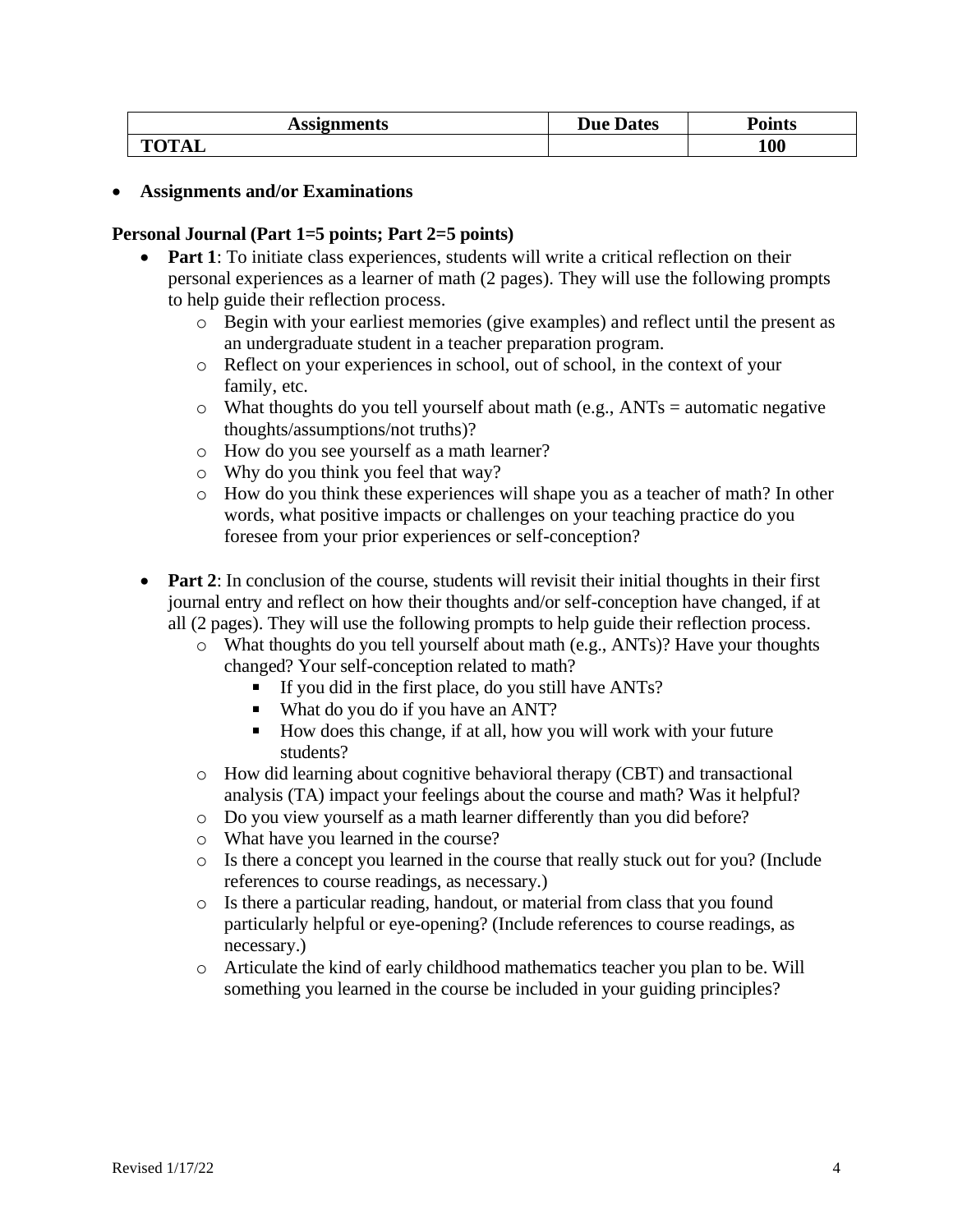| <b>Assignments</b>       | <b>Due Dates</b> | oints! |
|--------------------------|------------------|--------|
| <b>TOTA</b><br><b>AL</b> |                  | 100    |

#### • **Assignments and/or Examinations**

#### **Personal Journal (Part 1=5 points; Part 2=5 points)**

- **Part 1**: To initiate class experiences, students will write a critical reflection on their personal experiences as a learner of math (2 pages). They will use the following prompts to help guide their reflection process.
	- o Begin with your earliest memories (give examples) and reflect until the present as an undergraduate student in a teacher preparation program.
	- o Reflect on your experiences in school, out of school, in the context of your family, etc.
	- $\circ$  What thoughts do you tell yourself about math (e.g., ANTs = automatic negative thoughts/assumptions/not truths)?
	- o How do you see yourself as a math learner?
	- o Why do you think you feel that way?
	- o How do you think these experiences will shape you as a teacher of math? In other words, what positive impacts or challenges on your teaching practice do you foresee from your prior experiences or self-conception?
- **Part 2**: In conclusion of the course, students will revisit their initial thoughts in their first journal entry and reflect on how their thoughts and/or self-conception have changed, if at all (2 pages). They will use the following prompts to help guide their reflection process.
	- o What thoughts do you tell yourself about math (e.g., ANTs)? Have your thoughts changed? Your self-conception related to math?
		- If you did in the first place, do you still have  $ANTs$ ?
		- What do you do if you have an ANT?
		- $\blacksquare$ How does this change, if at all, how you will work with your future students?
	- $\circ$  How did learning about cognitive behavioral therapy (CBT) and transactional analysis (TA) impact your feelings about the course and math? Was it helpful?
	- o Do you view yourself as a math learner differently than you did before?
	- o What have you learned in the course?
	- o Is there a concept you learned in the course that really stuck out for you? (Include references to course readings, as necessary.)
	- o Is there a particular reading, handout, or material from class that you found particularly helpful or eye-opening? (Include references to course readings, as necessary.)
	- o Articulate the kind of early childhood mathematics teacher you plan to be. Will something you learned in the course be included in your guiding principles?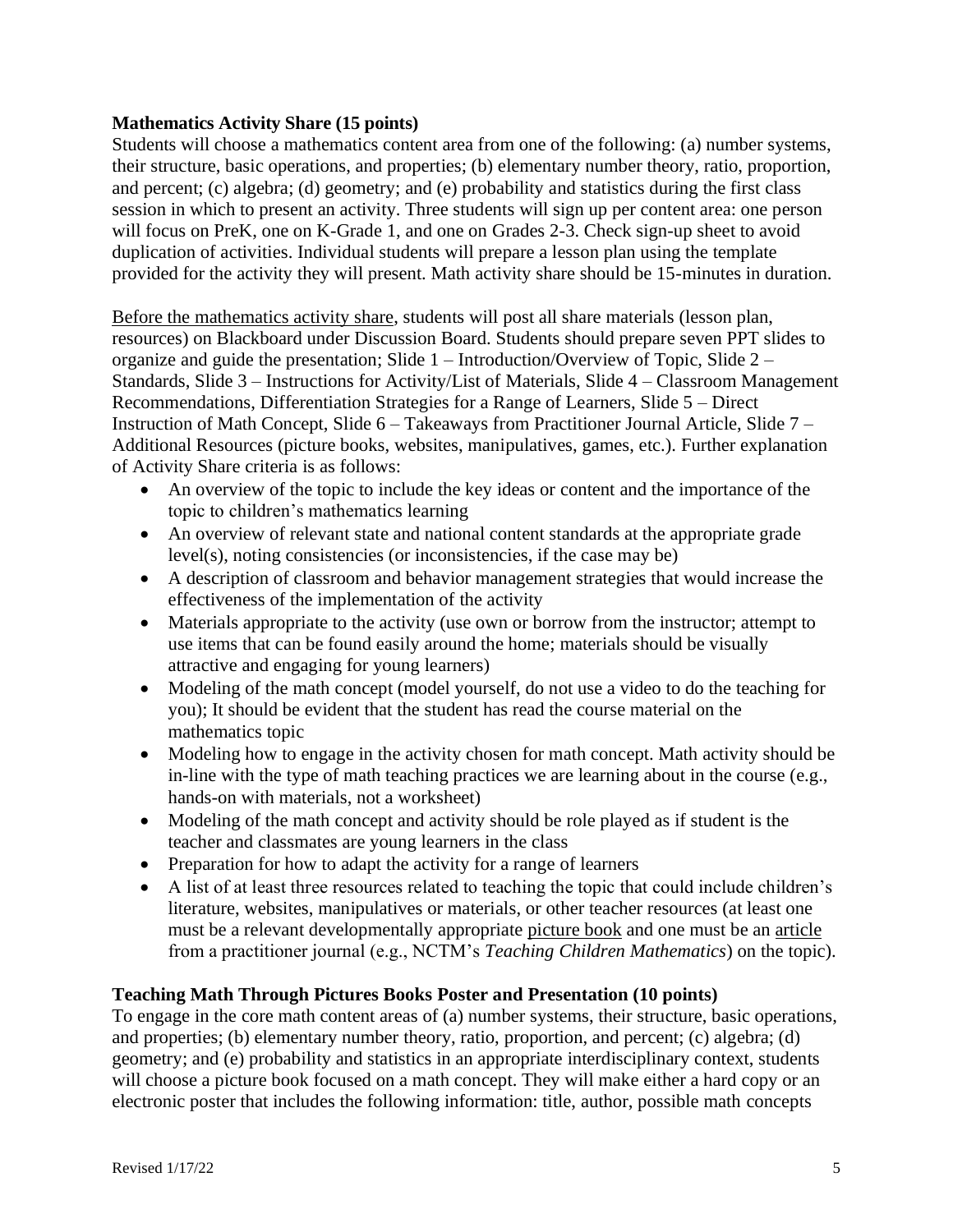#### **Mathematics Activity Share (15 points)**

Students will choose a mathematics content area from one of the following: (a) number systems, their structure, basic operations, and properties; (b) elementary number theory, ratio, proportion, and percent; (c) algebra; (d) geometry; and (e) probability and statistics during the first class session in which to present an activity. Three students will sign up per content area: one person will focus on PreK, one on K-Grade 1, and one on Grades 2-3. Check sign-up sheet to avoid duplication of activities. Individual students will prepare a lesson plan using the template provided for the activity they will present. Math activity share should be 15-minutes in duration.

Before the mathematics activity share, students will post all share materials (lesson plan, resources) on Blackboard under Discussion Board. Students should prepare seven PPT slides to organize and guide the presentation; Slide 1 – Introduction/Overview of Topic, Slide 2 – Standards, Slide 3 – Instructions for Activity/List of Materials, Slide 4 – Classroom Management Recommendations, Differentiation Strategies for a Range of Learners, Slide 5 – Direct Instruction of Math Concept, Slide 6 – Takeaways from Practitioner Journal Article, Slide 7 – Additional Resources (picture books, websites, manipulatives, games, etc.). Further explanation of Activity Share criteria is as follows:

- An overview of the topic to include the key ideas or content and the importance of the topic to children's mathematics learning
- An overview of relevant state and national content standards at the appropriate grade level(s), noting consistencies (or inconsistencies, if the case may be)
- A description of classroom and behavior management strategies that would increase the effectiveness of the implementation of the activity
- Materials appropriate to the activity (use own or borrow from the instructor; attempt to use items that can be found easily around the home; materials should be visually attractive and engaging for young learners)
- Modeling of the math concept (model yourself, do not use a video to do the teaching for you); It should be evident that the student has read the course material on the mathematics topic
- Modeling how to engage in the activity chosen for math concept. Math activity should be in-line with the type of math teaching practices we are learning about in the course (e.g., hands-on with materials, not a worksheet)
- Modeling of the math concept and activity should be role played as if student is the teacher and classmates are young learners in the class
- Preparation for how to adapt the activity for a range of learners
- A list of at least three resources related to teaching the topic that could include children's literature, websites, manipulatives or materials, or other teacher resources (at least one must be a relevant developmentally appropriate picture book and one must be an article from a practitioner journal (e.g., NCTM's *Teaching Children Mathematics*) on the topic).

# **Teaching Math Through Pictures Books Poster and Presentation (10 points)**

To engage in the core math content areas of (a) number systems, their structure, basic operations, and properties; (b) elementary number theory, ratio, proportion, and percent; (c) algebra; (d) geometry; and (e) probability and statistics in an appropriate interdisciplinary context, students will choose a picture book focused on a math concept. They will make either a hard copy or an electronic poster that includes the following information: title, author, possible math concepts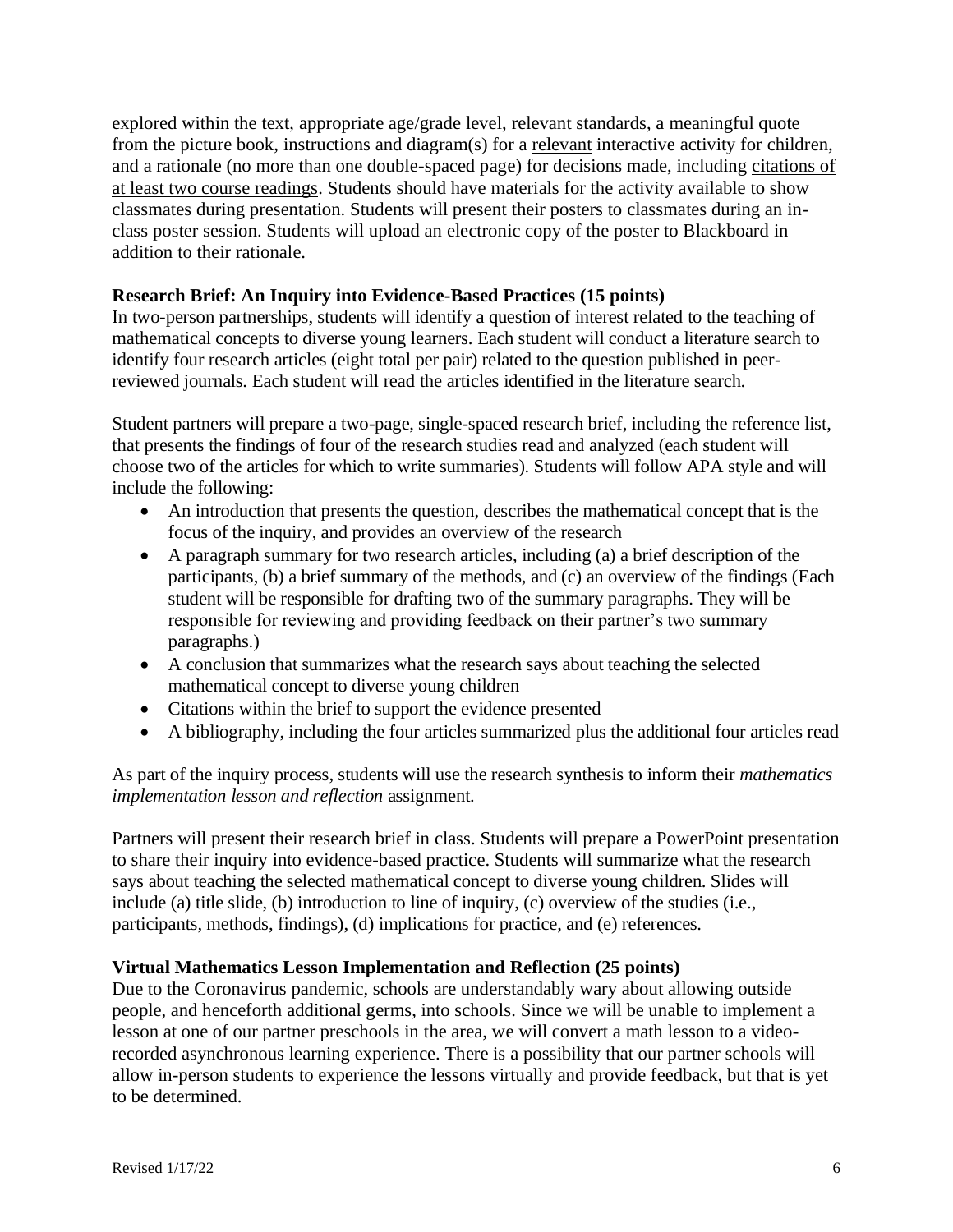explored within the text, appropriate age/grade level, relevant standards, a meaningful quote from the picture book, instructions and diagram(s) for a relevant interactive activity for children, and a rationale (no more than one double-spaced page) for decisions made, including citations of at least two course readings. Students should have materials for the activity available to show classmates during presentation. Students will present their posters to classmates during an inclass poster session. Students will upload an electronic copy of the poster to Blackboard in addition to their rationale.

#### **Research Brief: An Inquiry into Evidence-Based Practices (15 points)**

In two-person partnerships, students will identify a question of interest related to the teaching of mathematical concepts to diverse young learners. Each student will conduct a literature search to identify four research articles (eight total per pair) related to the question published in peerreviewed journals. Each student will read the articles identified in the literature search.

Student partners will prepare a two-page, single-spaced research brief, including the reference list, that presents the findings of four of the research studies read and analyzed (each student will choose two of the articles for which to write summaries). Students will follow APA style and will include the following:

- An introduction that presents the question, describes the mathematical concept that is the focus of the inquiry, and provides an overview of the research
- A paragraph summary for two research articles, including (a) a brief description of the participants, (b) a brief summary of the methods, and (c) an overview of the findings (Each student will be responsible for drafting two of the summary paragraphs. They will be responsible for reviewing and providing feedback on their partner's two summary paragraphs.)
- A conclusion that summarizes what the research says about teaching the selected mathematical concept to diverse young children
- Citations within the brief to support the evidence presented
- A bibliography, including the four articles summarized plus the additional four articles read

As part of the inquiry process, students will use the research synthesis to inform their *mathematics implementation lesson and reflection* assignment.

Partners will present their research brief in class. Students will prepare a PowerPoint presentation to share their inquiry into evidence-based practice. Students will summarize what the research says about teaching the selected mathematical concept to diverse young children. Slides will include (a) title slide, (b) introduction to line of inquiry, (c) overview of the studies (i.e., participants, methods, findings), (d) implications for practice, and (e) references.

#### **Virtual Mathematics Lesson Implementation and Reflection (25 points)**

Due to the Coronavirus pandemic, schools are understandably wary about allowing outside people, and henceforth additional germs, into schools. Since we will be unable to implement a lesson at one of our partner preschools in the area, we will convert a math lesson to a videorecorded asynchronous learning experience. There is a possibility that our partner schools will allow in-person students to experience the lessons virtually and provide feedback, but that is yet to be determined.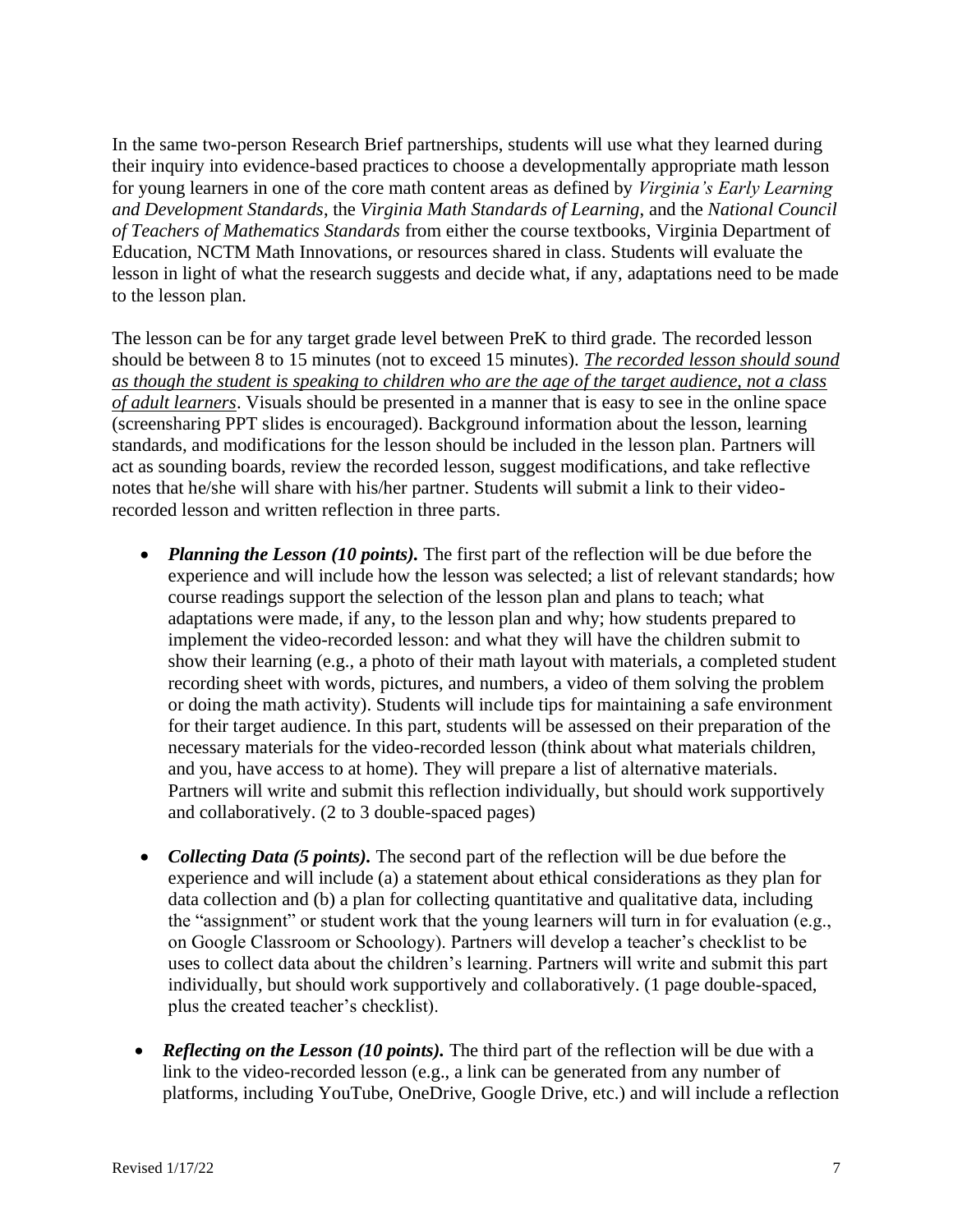In the same two-person Research Brief partnerships, students will use what they learned during their inquiry into evidence-based practices to choose a developmentally appropriate math lesson for young learners in one of the core math content areas as defined by *Virginia's Early Learning and Development Standards*, the *Virginia Math Standards of Learning*, and the *National Council of Teachers of Mathematics Standards* from either the course textbooks, Virginia Department of Education, NCTM Math Innovations, or resources shared in class. Students will evaluate the lesson in light of what the research suggests and decide what, if any, adaptations need to be made to the lesson plan.

The lesson can be for any target grade level between PreK to third grade. The recorded lesson should be between 8 to 15 minutes (not to exceed 15 minutes). *The recorded lesson should sound as though the student is speaking to children who are the age of the target audience, not a class of adult learners*. Visuals should be presented in a manner that is easy to see in the online space (screensharing PPT slides is encouraged). Background information about the lesson, learning standards, and modifications for the lesson should be included in the lesson plan. Partners will act as sounding boards, review the recorded lesson, suggest modifications, and take reflective notes that he/she will share with his/her partner. Students will submit a link to their videorecorded lesson and written reflection in three parts.

- *Planning the Lesson (10 points)*. The first part of the reflection will be due before the experience and will include how the lesson was selected; a list of relevant standards; how course readings support the selection of the lesson plan and plans to teach; what adaptations were made, if any, to the lesson plan and why; how students prepared to implement the video-recorded lesson: and what they will have the children submit to show their learning (e.g., a photo of their math layout with materials, a completed student recording sheet with words, pictures, and numbers, a video of them solving the problem or doing the math activity). Students will include tips for maintaining a safe environment for their target audience. In this part, students will be assessed on their preparation of the necessary materials for the video-recorded lesson (think about what materials children, and you, have access to at home). They will prepare a list of alternative materials. Partners will write and submit this reflection individually, but should work supportively and collaboratively. (2 to 3 double-spaced pages)
- *Collecting Data (5 points)*. The second part of the reflection will be due before the experience and will include (a) a statement about ethical considerations as they plan for data collection and (b) a plan for collecting quantitative and qualitative data, including the "assignment" or student work that the young learners will turn in for evaluation (e.g., on Google Classroom or Schoology). Partners will develop a teacher's checklist to be uses to collect data about the children's learning. Partners will write and submit this part individually, but should work supportively and collaboratively. (1 page double-spaced, plus the created teacher's checklist).
- *Reflecting on the Lesson (10 points)*. The third part of the reflection will be due with a link to the video-recorded lesson (e.g., a link can be generated from any number of platforms, including YouTube, OneDrive, Google Drive, etc.) and will include a reflection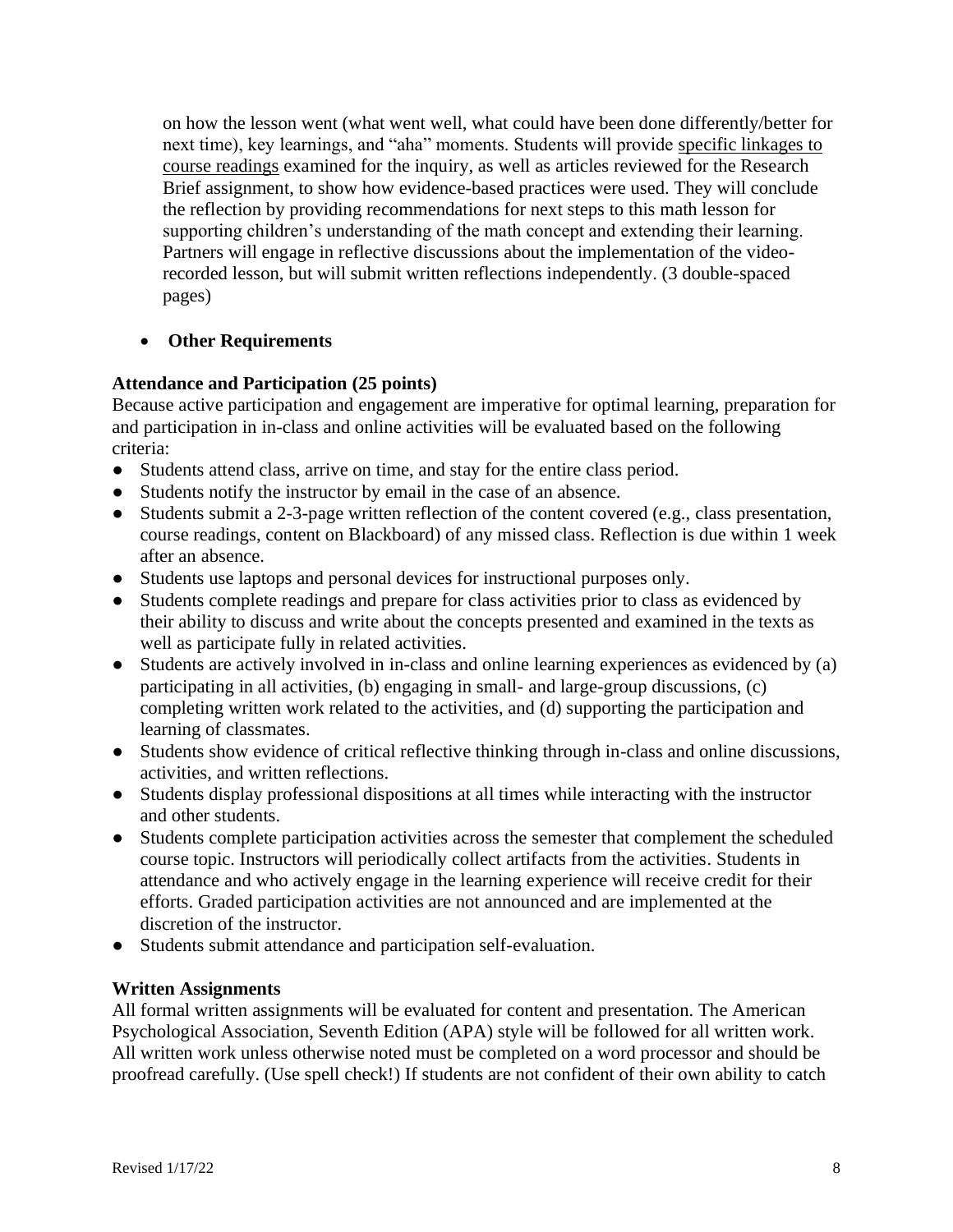on how the lesson went (what went well, what could have been done differently/better for next time), key learnings, and "aha" moments. Students will provide specific linkages to course readings examined for the inquiry, as well as articles reviewed for the Research Brief assignment, to show how evidence-based practices were used. They will conclude the reflection by providing recommendations for next steps to this math lesson for supporting children's understanding of the math concept and extending their learning. Partners will engage in reflective discussions about the implementation of the videorecorded lesson, but will submit written reflections independently. (3 double-spaced pages)

### • **Other Requirements**

### **Attendance and Participation (25 points)**

Because active participation and engagement are imperative for optimal learning, preparation for and participation in in-class and online activities will be evaluated based on the following criteria:

- Students attend class, arrive on time, and stay for the entire class period.
- Students notify the instructor by email in the case of an absence.
- Students submit a 2-3-page written reflection of the content covered (e.g., class presentation, course readings, content on Blackboard) of any missed class. Reflection is due within 1 week after an absence.
- Students use laptops and personal devices for instructional purposes only.
- Students complete readings and prepare for class activities prior to class as evidenced by their ability to discuss and write about the concepts presented and examined in the texts as well as participate fully in related activities.
- Students are actively involved in in-class and online learning experiences as evidenced by (a) participating in all activities, (b) engaging in small- and large-group discussions, (c) completing written work related to the activities, and (d) supporting the participation and learning of classmates.
- Students show evidence of critical reflective thinking through in-class and online discussions, activities, and written reflections.
- Students display professional dispositions at all times while interacting with the instructor and other students.
- Students complete participation activities across the semester that complement the scheduled course topic. Instructors will periodically collect artifacts from the activities. Students in attendance and who actively engage in the learning experience will receive credit for their efforts. Graded participation activities are not announced and are implemented at the discretion of the instructor.
- Students submit attendance and participation self-evaluation.

#### **Written Assignments**

All formal written assignments will be evaluated for content and presentation. The American Psychological Association, Seventh Edition (APA) style will be followed for all written work. All written work unless otherwise noted must be completed on a word processor and should be proofread carefully. (Use spell check!) If students are not confident of their own ability to catch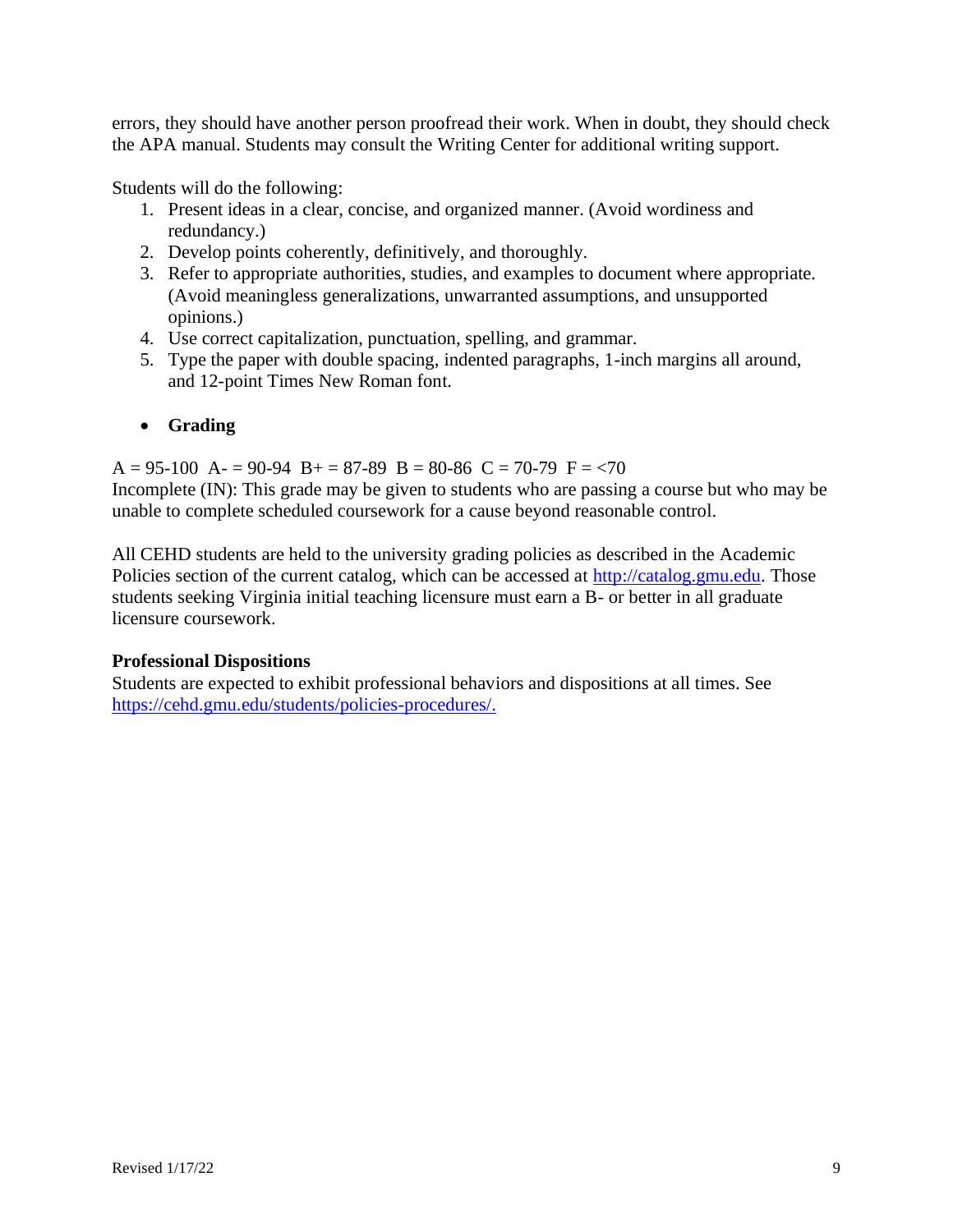errors, they should have another person proofread their work. When in doubt, they should check the APA manual. Students may consult the Writing Center for additional writing support.

Students will do the following:

- 1. Present ideas in a clear, concise, and organized manner. (Avoid wordiness and redundancy.)
- 2. Develop points coherently, definitively, and thoroughly.
- 3. Refer to appropriate authorities, studies, and examples to document where appropriate. (Avoid meaningless generalizations, unwarranted assumptions, and unsupported opinions.)
- 4. Use correct capitalization, punctuation, spelling, and grammar.
- 5. Type the paper with double spacing, indented paragraphs, 1-inch margins all around, and 12-point Times New Roman font.

# • **Grading**

 $A = 95-100$   $A = 90-94$   $B = 87-89$   $B = 80-86$   $C = 70-79$   $F = 70$ Incomplete (IN): This grade may be given to students who are passing a course but who may be unable to complete scheduled coursework for a cause beyond reasonable control.

All CEHD students are held to the university grading policies as described in the Academic Policies section of the current catalog, which can be accessed at [http://catalog.gmu.edu.](http://catalog.gmu.edu/) Those students seeking Virginia initial teaching licensure must earn a B- or better in all graduate licensure coursework.

# **Professional Dispositions**

Students are expected to exhibit professional behaviors and dispositions at all times. See [https://cehd.gmu.edu/students/policies-procedures/.](https://cehd.gmu.edu/students/policies-procedures/)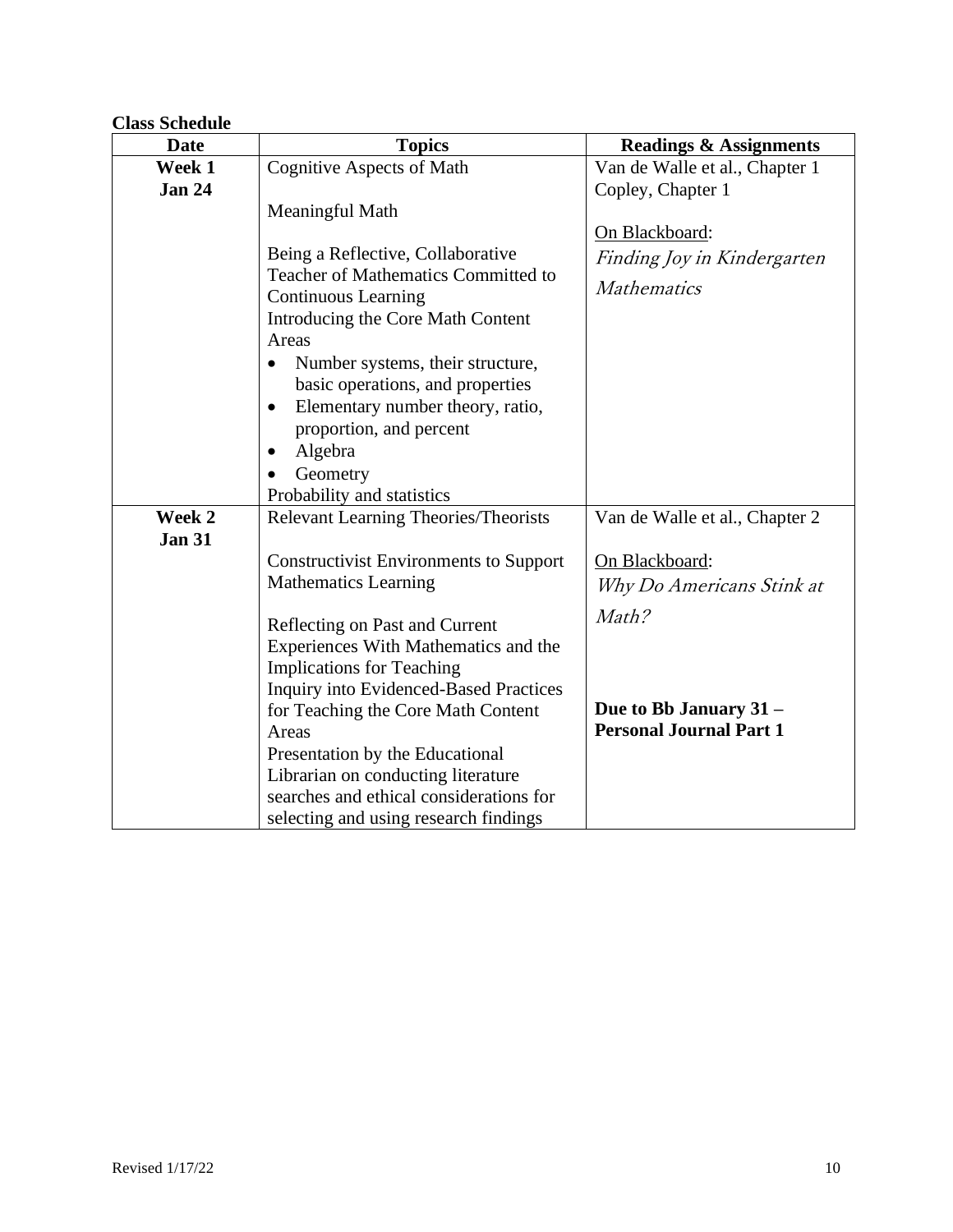# **Class Schedule**

| <b>Date</b>   | <b>Topics</b>                                 | <b>Readings &amp; Assignments</b> |
|---------------|-----------------------------------------------|-----------------------------------|
| Week 1        | <b>Cognitive Aspects of Math</b>              | Van de Walle et al., Chapter 1    |
| <b>Jan 24</b> |                                               | Copley, Chapter 1                 |
|               | Meaningful Math                               |                                   |
|               |                                               | On Blackboard:                    |
|               | Being a Reflective, Collaborative             | Finding Joy in Kindergarten       |
|               | Teacher of Mathematics Committed to           | <b>Mathematics</b>                |
|               | <b>Continuous Learning</b>                    |                                   |
|               | Introducing the Core Math Content             |                                   |
|               | Areas                                         |                                   |
|               | Number systems, their structure,              |                                   |
|               | basic operations, and properties              |                                   |
|               | Elementary number theory, ratio,<br>$\bullet$ |                                   |
|               | proportion, and percent                       |                                   |
|               | Algebra<br>$\bullet$                          |                                   |
|               | Geometry                                      |                                   |
|               | Probability and statistics                    |                                   |
| Week 2        | <b>Relevant Learning Theories/Theorists</b>   | Van de Walle et al., Chapter 2    |
| <b>Jan 31</b> |                                               |                                   |
|               | <b>Constructivist Environments to Support</b> | On Blackboard:                    |
|               | <b>Mathematics Learning</b>                   | Why Do Americans Stink at         |
|               | Reflecting on Past and Current                | Math?                             |
|               | Experiences With Mathematics and the          |                                   |
|               | <b>Implications for Teaching</b>              |                                   |
|               | <b>Inquiry into Evidenced-Based Practices</b> |                                   |
|               | for Teaching the Core Math Content            | Due to Bb January 31 -            |
|               | Areas                                         | <b>Personal Journal Part 1</b>    |
|               | Presentation by the Educational               |                                   |
|               | Librarian on conducting literature            |                                   |
|               | searches and ethical considerations for       |                                   |
|               | selecting and using research findings         |                                   |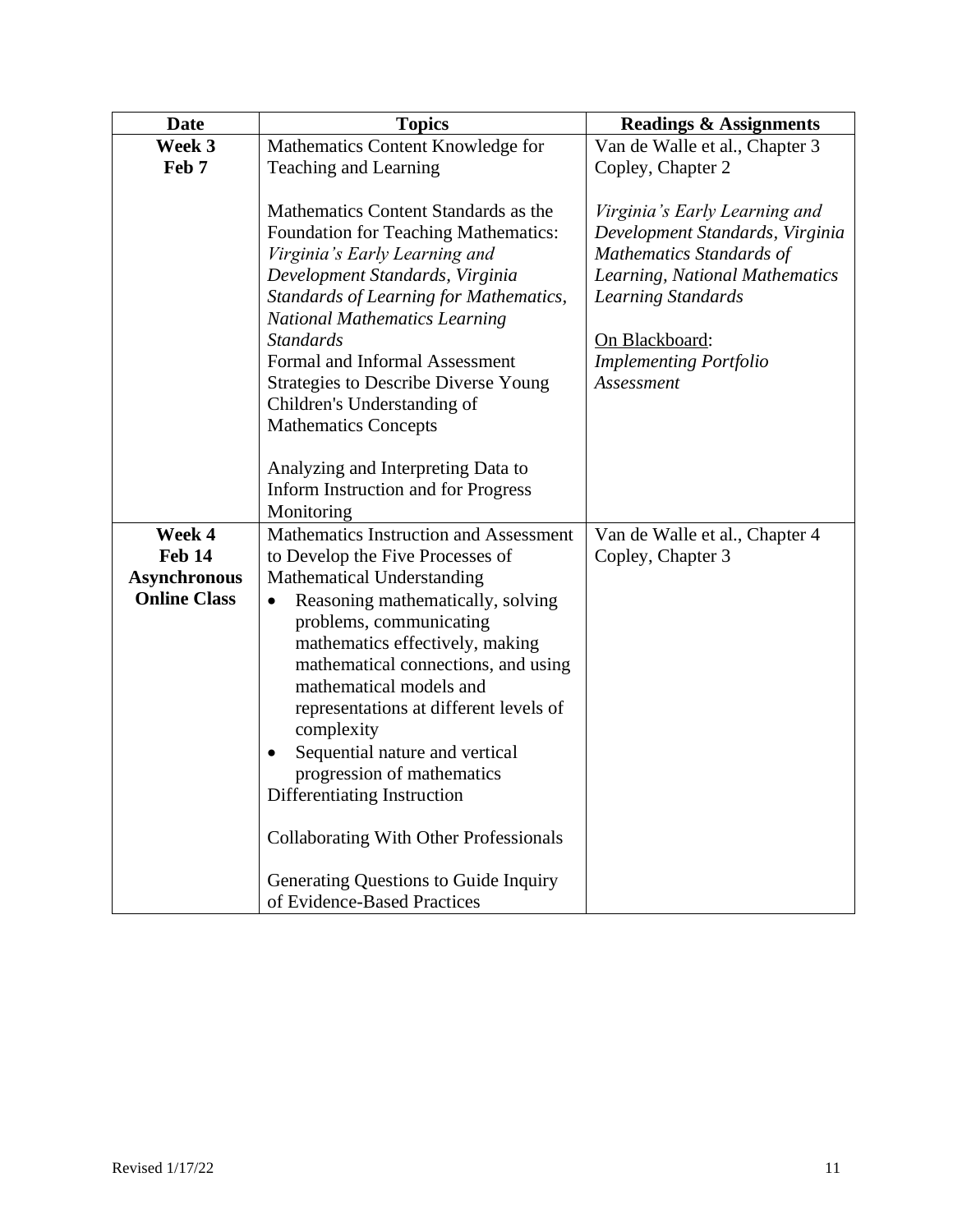| <b>Date</b>         | <b>Topics</b>                                                                                                                                                                                                                                                                                                                                                                                                                                | <b>Readings &amp; Assignments</b>                                                                                                                                                                                            |
|---------------------|----------------------------------------------------------------------------------------------------------------------------------------------------------------------------------------------------------------------------------------------------------------------------------------------------------------------------------------------------------------------------------------------------------------------------------------------|------------------------------------------------------------------------------------------------------------------------------------------------------------------------------------------------------------------------------|
| Week 3              | Mathematics Content Knowledge for                                                                                                                                                                                                                                                                                                                                                                                                            | Van de Walle et al., Chapter 3                                                                                                                                                                                               |
| Feb 7               | Teaching and Learning                                                                                                                                                                                                                                                                                                                                                                                                                        | Copley, Chapter 2                                                                                                                                                                                                            |
|                     | Mathematics Content Standards as the<br><b>Foundation for Teaching Mathematics:</b><br>Virginia's Early Learning and<br>Development Standards, Virginia<br>Standards of Learning for Mathematics,<br><b>National Mathematics Learning</b><br><b>Standards</b><br>Formal and Informal Assessment<br><b>Strategies to Describe Diverse Young</b><br>Children's Understanding of<br><b>Mathematics Concepts</b>                                 | Virginia's Early Learning and<br>Development Standards, Virginia<br>Mathematics Standards of<br>Learning, National Mathematics<br><b>Learning Standards</b><br>On Blackboard:<br><b>Implementing Portfolio</b><br>Assessment |
|                     | Analyzing and Interpreting Data to                                                                                                                                                                                                                                                                                                                                                                                                           |                                                                                                                                                                                                                              |
|                     | Inform Instruction and for Progress                                                                                                                                                                                                                                                                                                                                                                                                          |                                                                                                                                                                                                                              |
| Week 4              | Monitoring<br>Mathematics Instruction and Assessment                                                                                                                                                                                                                                                                                                                                                                                         |                                                                                                                                                                                                                              |
| <b>Feb 14</b>       |                                                                                                                                                                                                                                                                                                                                                                                                                                              | Van de Walle et al., Chapter 4<br>Copley, Chapter 3                                                                                                                                                                          |
| <b>Asynchronous</b> | to Develop the Five Processes of<br><b>Mathematical Understanding</b>                                                                                                                                                                                                                                                                                                                                                                        |                                                                                                                                                                                                                              |
|                     |                                                                                                                                                                                                                                                                                                                                                                                                                                              |                                                                                                                                                                                                                              |
| <b>Online Class</b> | Reasoning mathematically, solving<br>$\bullet$<br>problems, communicating<br>mathematics effectively, making<br>mathematical connections, and using<br>mathematical models and<br>representations at different levels of<br>complexity<br>Sequential nature and vertical<br>$\bullet$<br>progression of mathematics<br>Differentiating Instruction<br><b>Collaborating With Other Professionals</b><br>Generating Questions to Guide Inquiry |                                                                                                                                                                                                                              |
|                     | of Evidence-Based Practices                                                                                                                                                                                                                                                                                                                                                                                                                  |                                                                                                                                                                                                                              |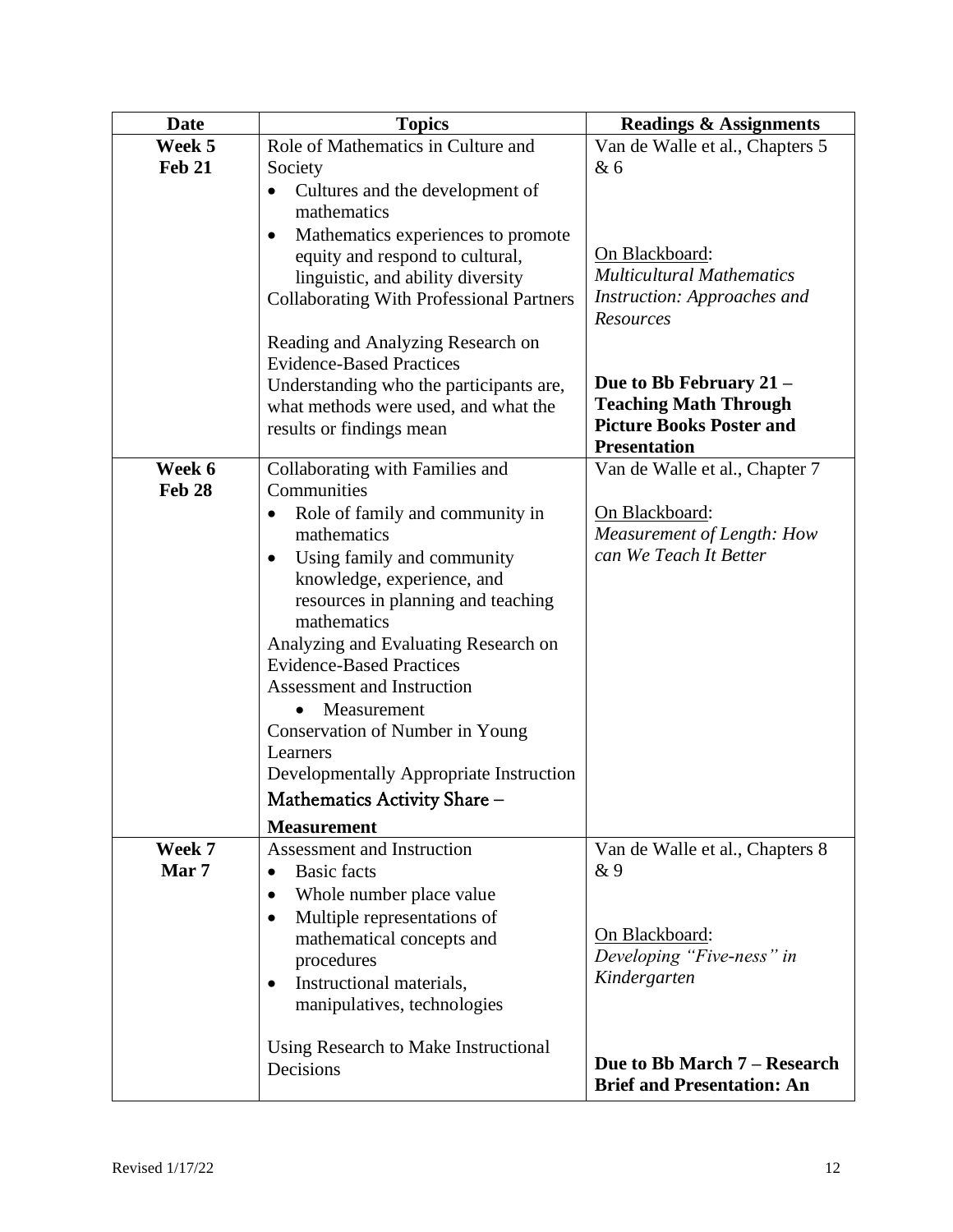| <b>Date</b>   | <b>Topics</b>                                                                      | <b>Readings &amp; Assignments</b>                     |
|---------------|------------------------------------------------------------------------------------|-------------------------------------------------------|
| Week 5        | Role of Mathematics in Culture and                                                 | Van de Walle et al., Chapters 5                       |
| <b>Feb 21</b> | Society                                                                            | & 6                                                   |
|               | Cultures and the development of<br>$\bullet$                                       |                                                       |
|               | mathematics                                                                        |                                                       |
|               | Mathematics experiences to promote<br>$\bullet$<br>equity and respond to cultural, | On Blackboard:                                        |
|               | linguistic, and ability diversity                                                  | <b>Multicultural Mathematics</b>                      |
|               | <b>Collaborating With Professional Partners</b>                                    | Instruction: Approaches and                           |
|               |                                                                                    | Resources                                             |
|               | Reading and Analyzing Research on                                                  |                                                       |
|               | <b>Evidence-Based Practices</b>                                                    |                                                       |
|               | Understanding who the participants are,                                            | Due to Bb February 21 –                               |
|               | what methods were used, and what the                                               | <b>Teaching Math Through</b>                          |
|               | results or findings mean                                                           | <b>Picture Books Poster and</b>                       |
| Week 6        | Collaborating with Families and                                                    | <b>Presentation</b><br>Van de Walle et al., Chapter 7 |
| <b>Feb 28</b> | Communities                                                                        |                                                       |
|               | Role of family and community in<br>$\bullet$                                       | On Blackboard:                                        |
|               | mathematics                                                                        | Measurement of Length: How                            |
|               | Using family and community<br>$\bullet$                                            | can We Teach It Better                                |
|               | knowledge, experience, and                                                         |                                                       |
|               | resources in planning and teaching                                                 |                                                       |
|               | mathematics                                                                        |                                                       |
|               | Analyzing and Evaluating Research on                                               |                                                       |
|               | <b>Evidence-Based Practices</b>                                                    |                                                       |
|               | Assessment and Instruction                                                         |                                                       |
|               | Measurement                                                                        |                                                       |
|               | Conservation of Number in Young                                                    |                                                       |
|               | Learners                                                                           |                                                       |
|               | Developmentally Appropriate Instruction                                            |                                                       |
|               | Mathematics Activity Share -                                                       |                                                       |
|               | <b>Measurement</b>                                                                 |                                                       |
| Week 7        | Assessment and Instruction                                                         | Van de Walle et al., Chapters 8                       |
| Mar 7         | <b>Basic facts</b><br>$\bullet$                                                    | &9                                                    |
|               | Whole number place value<br>$\bullet$                                              |                                                       |
|               | Multiple representations of<br>٠                                                   | On Blackboard:                                        |
|               | mathematical concepts and                                                          | Developing "Five-ness" in                             |
|               | procedures<br>Instructional materials,                                             | Kindergarten                                          |
|               | $\bullet$<br>manipulatives, technologies                                           |                                                       |
|               |                                                                                    |                                                       |
|               | Using Research to Make Instructional                                               |                                                       |
|               | Decisions                                                                          | Due to Bb March 7 – Research                          |
|               |                                                                                    | <b>Brief and Presentation: An</b>                     |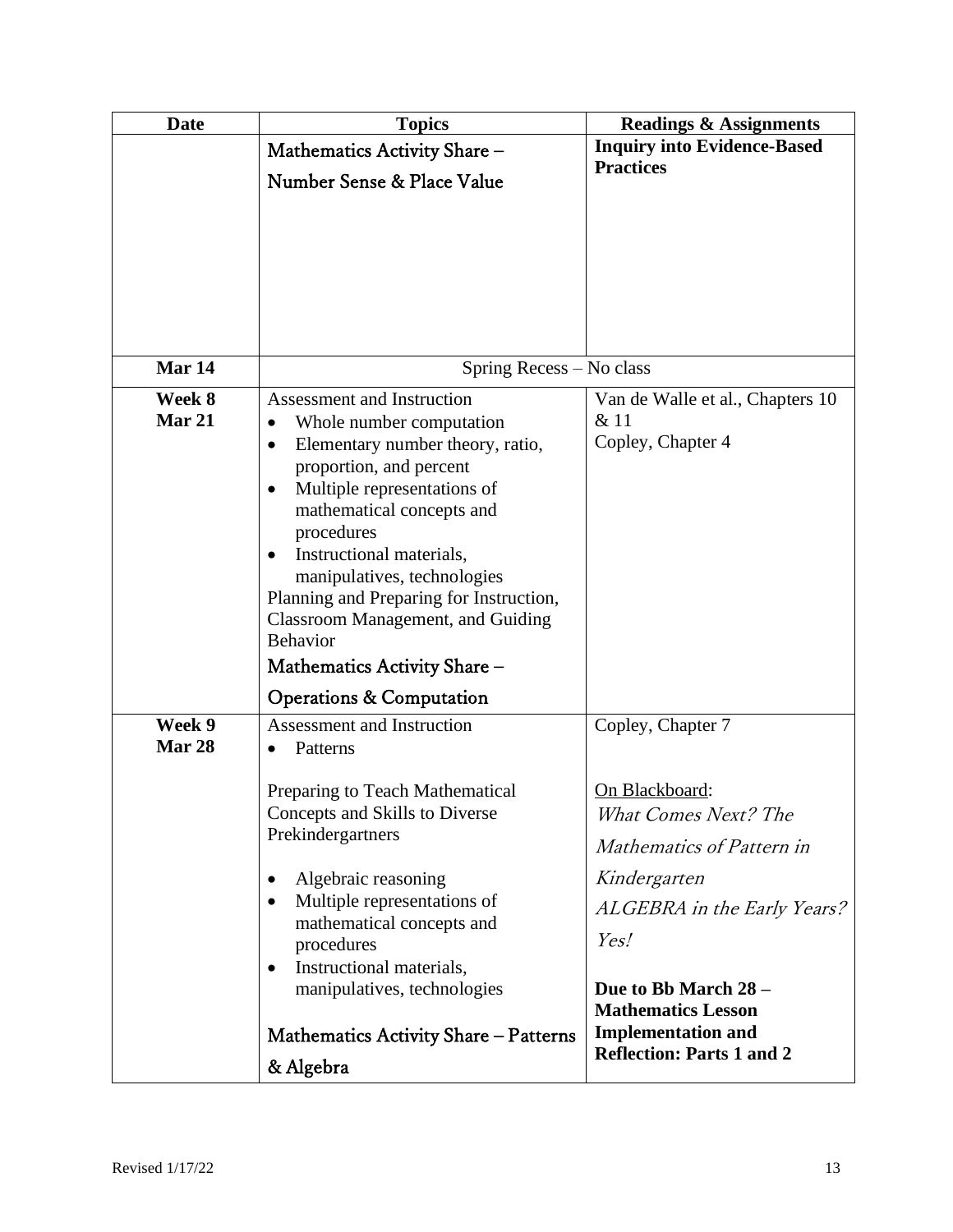| <b>Date</b>             | <b>Topics</b>                                                                                                                                                                                                                                                                                                                                                                                                                                                                      | <b>Readings &amp; Assignments</b>                                                                        |
|-------------------------|------------------------------------------------------------------------------------------------------------------------------------------------------------------------------------------------------------------------------------------------------------------------------------------------------------------------------------------------------------------------------------------------------------------------------------------------------------------------------------|----------------------------------------------------------------------------------------------------------|
|                         | Mathematics Activity Share -                                                                                                                                                                                                                                                                                                                                                                                                                                                       | <b>Inquiry into Evidence-Based</b>                                                                       |
|                         | Number Sense & Place Value                                                                                                                                                                                                                                                                                                                                                                                                                                                         | <b>Practices</b>                                                                                         |
|                         |                                                                                                                                                                                                                                                                                                                                                                                                                                                                                    |                                                                                                          |
| Mar 14                  | Spring Recess - No class                                                                                                                                                                                                                                                                                                                                                                                                                                                           |                                                                                                          |
| Week 8<br><b>Mar 21</b> | Assessment and Instruction<br>Whole number computation<br>$\bullet$<br>Elementary number theory, ratio,<br>$\bullet$<br>proportion, and percent<br>Multiple representations of<br>$\bullet$<br>mathematical concepts and<br>procedures<br>Instructional materials,<br>manipulatives, technologies<br>Planning and Preparing for Instruction,<br><b>Classroom Management, and Guiding</b><br><b>Behavior</b><br>Mathematics Activity Share -<br><b>Operations &amp; Computation</b> | Van de Walle et al., Chapters 10<br>& 11<br>Copley, Chapter 4                                            |
| Week 9<br>Mar 28        | <b>Assessment and Instruction</b><br>Patterns<br>$\bullet$                                                                                                                                                                                                                                                                                                                                                                                                                         | Copley, Chapter 7                                                                                        |
|                         | Preparing to Teach Mathematical<br>Concepts and Skills to Diverse<br>Prekindergartners                                                                                                                                                                                                                                                                                                                                                                                             | On Blackboard:<br>What Comes Next? The<br>Mathematics of Pattern in                                      |
|                         | Algebraic reasoning<br>$\bullet$<br>Multiple representations of<br>$\bullet$<br>mathematical concepts and<br>procedures<br>Instructional materials,<br>$\bullet$<br>manipulatives, technologies                                                                                                                                                                                                                                                                                    | Kindergarten<br>ALGEBRA in the Early Years?<br>Yes!<br>Due to Bb March 28 -<br><b>Mathematics Lesson</b> |
|                         | Mathematics Activity Share - Patterns<br>& Algebra                                                                                                                                                                                                                                                                                                                                                                                                                                 | <b>Implementation and</b><br><b>Reflection: Parts 1 and 2</b>                                            |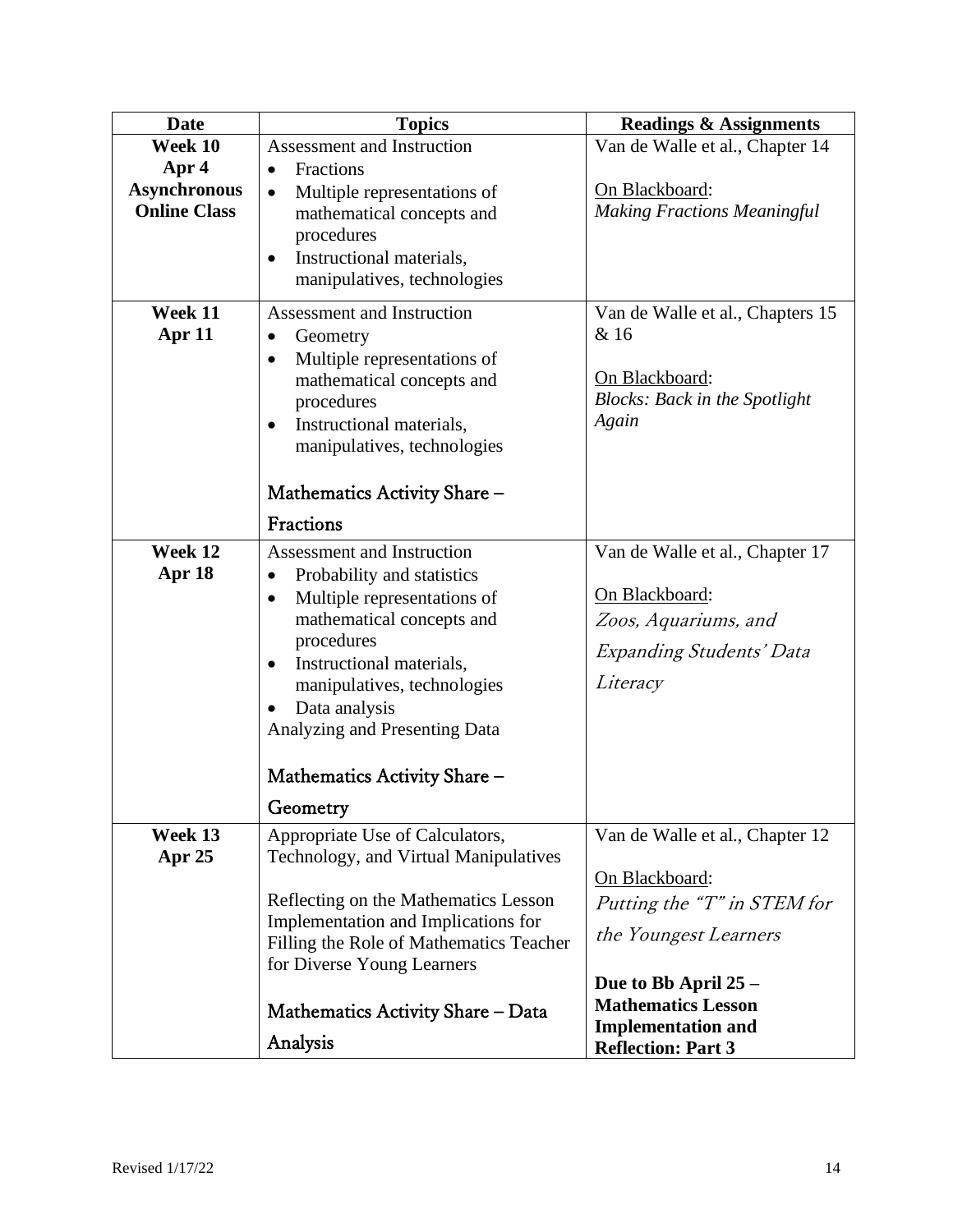| <b>Date</b>                                | <b>Topics</b>                                                                                                                                                                                                                                            | <b>Readings &amp; Assignments</b>                                              |
|--------------------------------------------|----------------------------------------------------------------------------------------------------------------------------------------------------------------------------------------------------------------------------------------------------------|--------------------------------------------------------------------------------|
| Week 10                                    | <b>Assessment and Instruction</b>                                                                                                                                                                                                                        | Van de Walle et al., Chapter 14                                                |
| Apr 4                                      | Fractions<br>$\bullet$                                                                                                                                                                                                                                   |                                                                                |
| <b>Asynchronous</b><br><b>Online Class</b> | Multiple representations of<br>$\bullet$<br>mathematical concepts and<br>procedures<br>Instructional materials,<br>٠<br>manipulatives, technologies                                                                                                      | On Blackboard:<br><b>Making Fractions Meaningful</b>                           |
| Week 11                                    | Assessment and Instruction                                                                                                                                                                                                                               | Van de Walle et al., Chapters 15                                               |
| Apr 11                                     | Geometry<br>$\bullet$<br>Multiple representations of<br>$\bullet$<br>mathematical concepts and<br>procedures<br>Instructional materials,<br>$\bullet$<br>manipulatives, technologies                                                                     | & 16<br>On Blackboard:<br><b>Blocks: Back in the Spotlight</b><br>Again        |
|                                            | Mathematics Activity Share –                                                                                                                                                                                                                             |                                                                                |
|                                            | Fractions                                                                                                                                                                                                                                                |                                                                                |
| Week 12                                    | Assessment and Instruction                                                                                                                                                                                                                               | Van de Walle et al., Chapter 17                                                |
| Apr 18                                     | Probability and statistics<br>$\bullet$<br>Multiple representations of<br>$\bullet$<br>mathematical concepts and<br>procedures<br>Instructional materials,<br>$\bullet$<br>manipulatives, technologies<br>Data analysis<br>Analyzing and Presenting Data | On Blackboard:<br>Zoos, Aquariums, and<br>Expanding Students' Data<br>Literacy |
|                                            | Mathematics Activity Share -                                                                                                                                                                                                                             |                                                                                |
|                                            | Geometry                                                                                                                                                                                                                                                 |                                                                                |
| Week 13<br>Apr 25                          | Appropriate Use of Calculators,<br>Technology, and Virtual Manipulatives                                                                                                                                                                                 | Van de Walle et al., Chapter 12<br>On Blackboard:                              |
|                                            | Reflecting on the Mathematics Lesson                                                                                                                                                                                                                     | Putting the "T" in STEM for                                                    |
|                                            | Implementation and Implications for<br>Filling the Role of Mathematics Teacher<br>for Diverse Young Learners                                                                                                                                             | the Youngest Learners                                                          |
|                                            |                                                                                                                                                                                                                                                          | Due to Bb April 25 -                                                           |
|                                            | Mathematics Activity Share – Data                                                                                                                                                                                                                        | <b>Mathematics Lesson</b><br><b>Implementation and</b>                         |
|                                            | Analysis                                                                                                                                                                                                                                                 | <b>Reflection: Part 3</b>                                                      |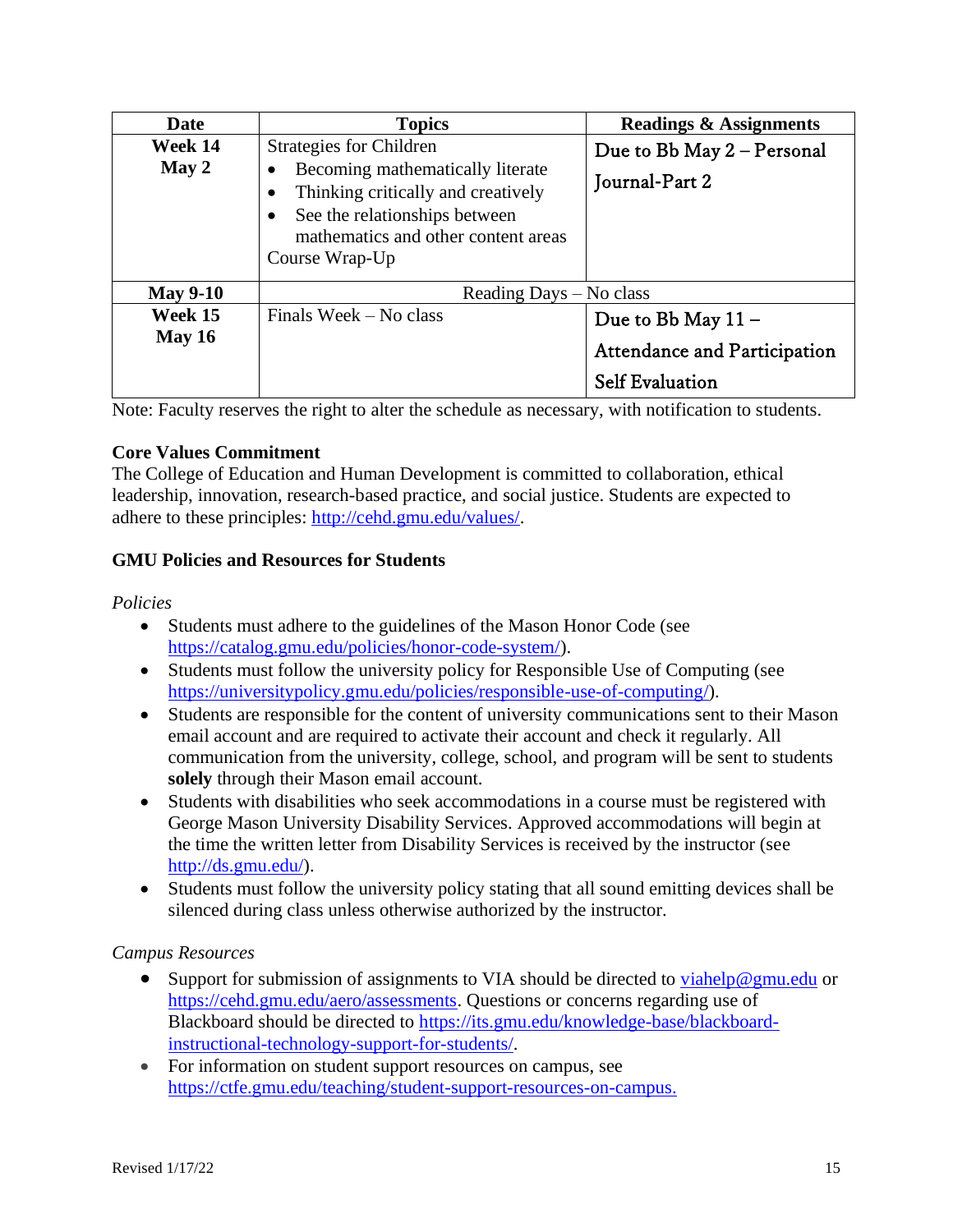| Date                | <b>Topics</b>                                                                                                                                                                                                   | <b>Readings &amp; Assignments</b>                                                   |
|---------------------|-----------------------------------------------------------------------------------------------------------------------------------------------------------------------------------------------------------------|-------------------------------------------------------------------------------------|
| Week 14<br>May 2    | <b>Strategies for Children</b><br>Becoming mathematically literate<br>Thinking critically and creatively<br>See the relationships between<br>$\bullet$<br>mathematics and other content areas<br>Course Wrap-Up | Due to Bb May 2 – Personal<br>Journal-Part 2                                        |
| <b>May 9-10</b>     | Reading Days – No class                                                                                                                                                                                         |                                                                                     |
| Week 15<br>May $16$ | Finals Week – No class                                                                                                                                                                                          | Due to Bb May 11 -<br><b>Attendance and Participation</b><br><b>Self Evaluation</b> |

Note: Faculty reserves the right to alter the schedule as necessary, with notification to students.

# **Core Values Commitment**

The College of Education and Human Development is committed to collaboration, ethical leadership, innovation, research-based practice, and social justice. Students are expected to adhere to these principles: [http://cehd.gmu.edu/values/.](http://cehd.gmu.edu/values/)

# **GMU Policies and Resources for Students**

#### *Policies*

- Students must adhere to the guidelines of the Mason Honor Code (see [https://catalog.gmu.edu/policies/honor-code-system/\)](https://catalog.gmu.edu/policies/honor-code-system/).
- Students must follow the university policy for Responsible Use of Computing (see [https://universitypolicy.gmu.edu/policies/responsible-use-of-computing/\)](https://universitypolicy.gmu.edu/policies/responsible-use-of-computing/).
- Students are responsible for the content of university communications sent to their Mason email account and are required to activate their account and check it regularly. All communication from the university, college, school, and program will be sent to students **solely** through their Mason email account.
- Students with disabilities who seek accommodations in a course must be registered with George Mason University Disability Services. Approved accommodations will begin at the time the written letter from Disability Services is received by the instructor (see [http://ds.gmu.edu/\)](http://ds.gmu.edu/).
- Students must follow the university policy stating that all sound emitting devices shall be silenced during class unless otherwise authorized by the instructor.

# *Campus Resources*

- Support for submission of assignments to VIA should be directed to [viahelp@gmu.edu](mailto:viahelp@gmu.edu) or [https://cehd.gmu.edu/aero/assessments.](https://cehd.gmu.edu/aero/assessments) Questions or concerns regarding use of Blackboard should be directed to [https://its.gmu.edu/knowledge-base/blackboard](https://its.gmu.edu/knowledge-base/blackboard-instructional-technology-support-for-students/)[instructional-technology-support-for-students/.](https://its.gmu.edu/knowledge-base/blackboard-instructional-technology-support-for-students/)
- For information on student support resources on campus, see [https://ctfe.gmu.edu/teaching/student-support-resources-on-campus.](https://ctfe.gmu.edu/teaching/student-support-resources-on-campus)